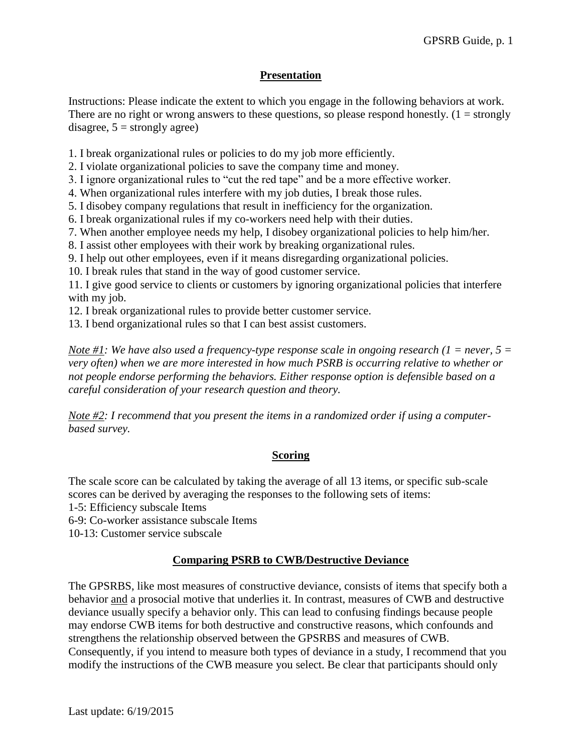## **Presentation**

Instructions: Please indicate the extent to which you engage in the following behaviors at work. There are no right or wrong answers to these questions, so please respond honestly.  $(1 = \text{strongly})$ disagree,  $5 =$  strongly agree)

1. I break organizational rules or policies to do my job more efficiently.

2. I violate organizational policies to save the company time and money.

3. I ignore organizational rules to "cut the red tape" and be a more effective worker.

4. When organizational rules interfere with my job duties, I break those rules.

5. I disobey company regulations that result in inefficiency for the organization.

6. I break organizational rules if my co-workers need help with their duties.

7. When another employee needs my help, I disobey organizational policies to help him/her.

8. I assist other employees with their work by breaking organizational rules.

9. I help out other employees, even if it means disregarding organizational policies.

10. I break rules that stand in the way of good customer service.

11. I give good service to clients or customers by ignoring organizational policies that interfere with my job.

12. I break organizational rules to provide better customer service.

13. I bend organizational rules so that I can best assist customers.

*Note #1: We have also used a frequency-type response scale in ongoing research (1 = never, 5 =*  $\overline{\phantom{a}}$ *) very often) when we are more interested in how much PSRB is occurring relative to whether or not people endorse performing the behaviors. Either response option is defensible based on a careful consideration of your research question and theory.*

*Note #2: I recommend that you present the items in a randomized order if using a computerbased survey.* 

### **Scoring**

The scale score can be calculated by taking the average of all 13 items, or specific sub-scale scores can be derived by averaging the responses to the following sets of items:

1-5: Efficiency subscale Items

6-9: Co-worker assistance subscale Items

10-13: Customer service subscale

### **Comparing PSRB to CWB/Destructive Deviance**

The GPSRBS, like most measures of constructive deviance, consists of items that specify both a behavior and a prosocial motive that underlies it. In contrast, measures of CWB and destructive deviance usually specify a behavior only. This can lead to confusing findings because people may endorse CWB items for both destructive and constructive reasons, which confounds and strengthens the relationship observed between the GPSRBS and measures of CWB. Consequently, if you intend to measure both types of deviance in a study, I recommend that you modify the instructions of the CWB measure you select. Be clear that participants should only